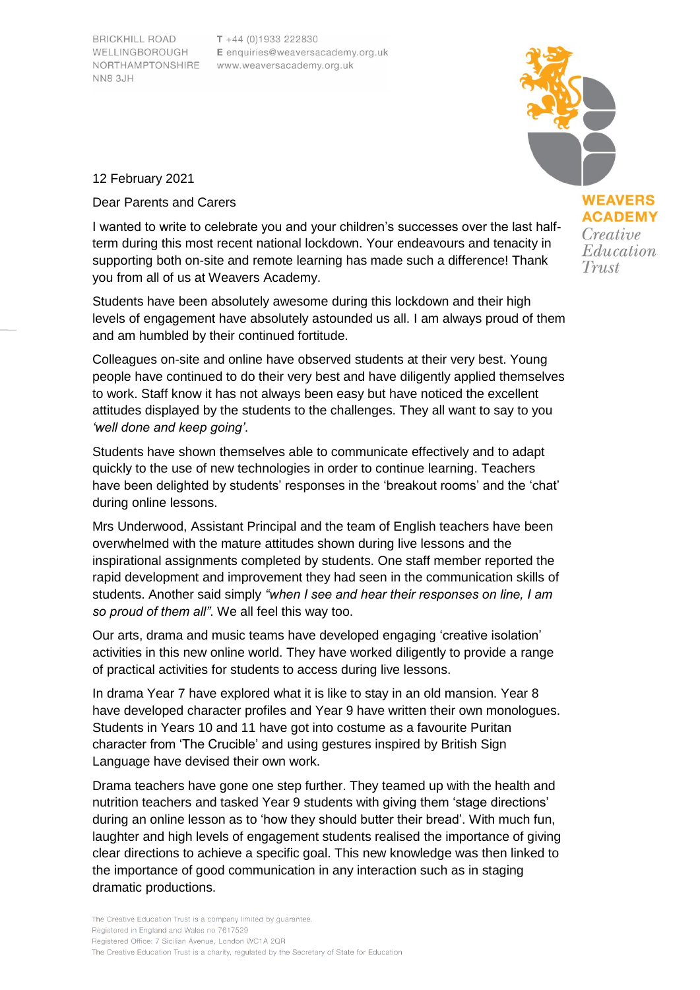**BRICKHILL ROAD** WELLINGBOROUGH **NN8 3JH** 

 $T + 44 (0)1933 222830$ E enquiries@weaversacademy.org.uk NORTHAMPTONSHIRE www.weaversacademy.org.uk



**ACADEMY** Creative Education

Trust

12 February 2021

Dear Parents and Carers

I wanted to write to celebrate you and your children's successes over the last halfterm during this most recent national lockdown. Your endeavours and tenacity in supporting both on-site and remote learning has made such a difference! Thank you from all of us at Weavers Academy.

Students have been absolutely awesome during this lockdown and their high levels of engagement have absolutely astounded us all. I am always proud of them and am humbled by their continued fortitude.

Colleagues on-site and online have observed students at their very best. Young people have continued to do their very best and have diligently applied themselves to work. Staff know it has not always been easy but have noticed the excellent attitudes displayed by the students to the challenges. They all want to say to you *'well done and keep going'*.

Students have shown themselves able to communicate effectively and to adapt quickly to the use of new technologies in order to continue learning. Teachers have been delighted by students' responses in the 'breakout rooms' and the 'chat' during online lessons.

Mrs Underwood, Assistant Principal and the team of English teachers have been overwhelmed with the mature attitudes shown during live lessons and the inspirational assignments completed by students. One staff member reported the rapid development and improvement they had seen in the communication skills of students. Another said simply *"when I see and hear their responses on line, I am so proud of them all"*. We all feel this way too.

Our arts, drama and music teams have developed engaging 'creative isolation' activities in this new online world. They have worked diligently to provide a range of practical activities for students to access during live lessons.

In drama Year 7 have explored what it is like to stay in an old mansion. Year 8 have developed character profiles and Year 9 have written their own monologues. Students in Years 10 and 11 have got into costume as a favourite Puritan character from 'The Crucible' and using gestures inspired by British Sign Language have devised their own work.

Drama teachers have gone one step further. They teamed up with the health and nutrition teachers and tasked Year 9 students with giving them 'stage directions' during an online lesson as to 'how they should butter their bread'. With much fun, laughter and high levels of engagement students realised the importance of giving clear directions to achieve a specific goal. This new knowledge was then linked to the importance of good communication in any interaction such as in staging dramatic productions.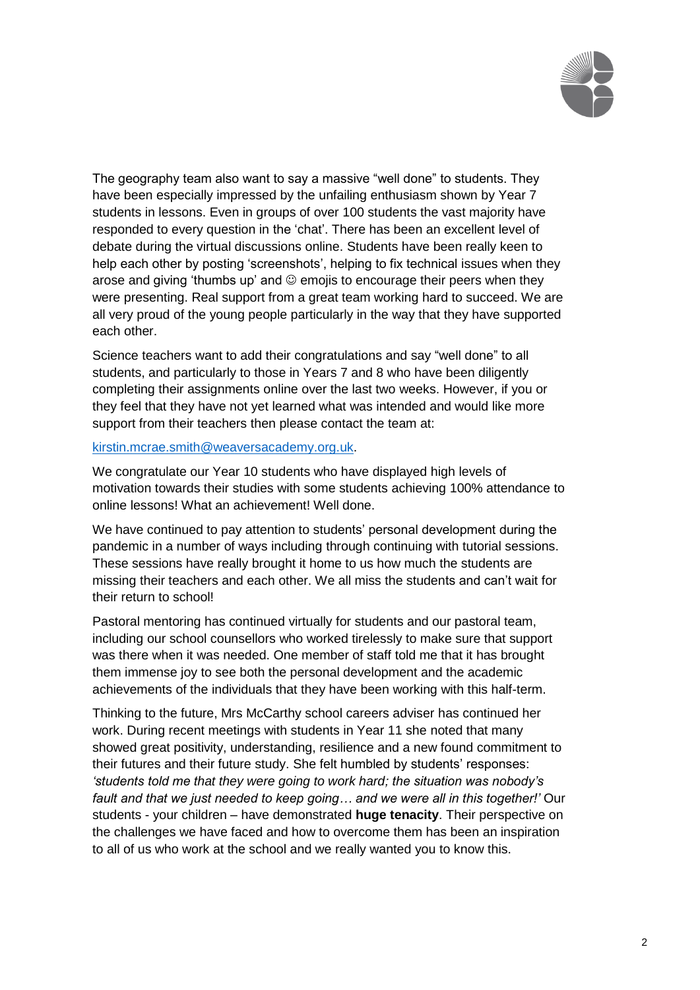

The geography team also want to say a massive "well done" to students. They have been especially impressed by the unfailing enthusiasm shown by Year 7 students in lessons. Even in groups of over 100 students the vast majority have responded to every question in the 'chat'. There has been an excellent level of debate during the virtual discussions online. Students have been really keen to help each other by posting 'screenshots', helping to fix technical issues when they arose and giving 'thumbs up' and  $\odot$  emojis to encourage their peers when they were presenting. Real support from a great team working hard to succeed. We are all very proud of the young people particularly in the way that they have supported each other.

Science teachers want to add their congratulations and say "well done" to all students, and particularly to those in Years 7 and 8 who have been diligently completing their assignments online over the last two weeks. However, if you or they feel that they have not yet learned what was intended and would like more support from their teachers then please contact the team at:

## [kirstin.mcrae.smith@weaversacademy.org.uk.](mailto:kirstin.mcrae.smith@weaversacademy.org.uk)

We congratulate our Year 10 students who have displayed high levels of motivation towards their studies with some students achieving 100% attendance to online lessons! What an achievement! Well done.

We have continued to pay attention to students' personal development during the pandemic in a number of ways including through continuing with tutorial sessions. These sessions have really brought it home to us how much the students are missing their teachers and each other. We all miss the students and can't wait for their return to school!

Pastoral mentoring has continued virtually for students and our pastoral team, including our school counsellors who worked tirelessly to make sure that support was there when it was needed. One member of staff told me that it has brought them immense joy to see both the personal development and the academic achievements of the individuals that they have been working with this half-term.

Thinking to the future, Mrs McCarthy school careers adviser has continued her work. During recent meetings with students in Year 11 she noted that many showed great positivity, understanding, resilience and a new found commitment to their futures and their future study. She felt humbled by students' responses: *'students told me that they were going to work hard; the situation was nobody's fault and that we just needed to keep going… and we were all in this together!'* Our students - your children – have demonstrated **huge tenacity**. Their perspective on the challenges we have faced and how to overcome them has been an inspiration to all of us who work at the school and we really wanted you to know this.